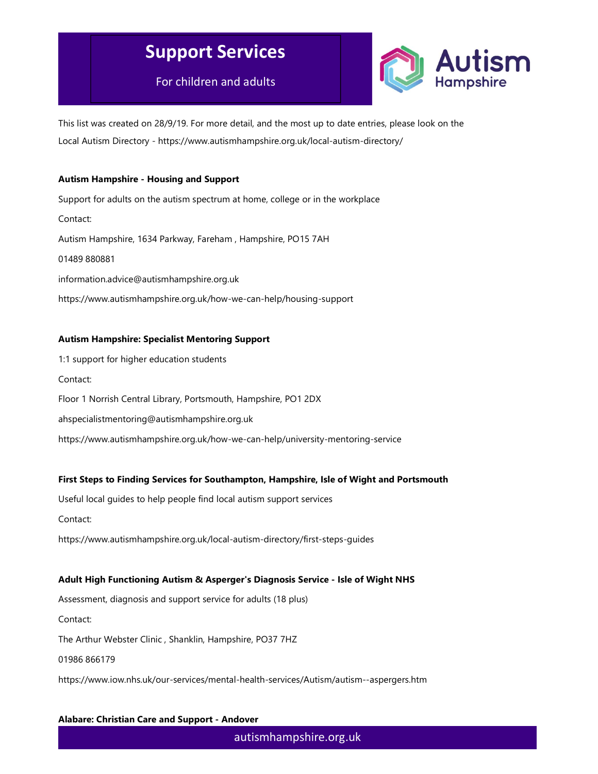For children and adults



This list was created on 28/9/19. For more detail, and the most up to date entries, please look on the Local Autism Directory - https://www.autismhampshire.org.uk/local-autism-directory/

#### Autism Hampshire - Housing and Support

Support for adults on the autism spectrum at home, college or in the workplace Contact: Autism Hampshire, 1634 Parkway, Fareham , Hampshire, PO15 7AH 01489 880881 information.advice@autismhampshire.org.uk https://www.autismhampshire.org.uk/how-we-can-help/housing-support

### Autism Hampshire: Specialist Mentoring Support

1:1 support for higher education students Contact: Floor 1 Norrish Central Library, Portsmouth, Hampshire, PO1 2DX ahspecialistmentoring@autismhampshire.org.uk https://www.autismhampshire.org.uk/how-we-can-help/university-mentoring-service

### First Steps to Finding Services for Southampton, Hampshire, Isle of Wight and Portsmouth

Useful local guides to help people find local autism support services

Contact:

https://www.autismhampshire.org.uk/local-autism-directory/first-steps-guides

#### Adult High Functioning Autism & Asperger's Diagnosis Service - Isle of Wight NHS

Assessment, diagnosis and support service for adults (18 plus)

Contact:

The Arthur Webster Clinic , Shanklin, Hampshire, PO37 7HZ

01986 866179

https://www.iow.nhs.uk/our-services/mental-health-services/Autism/autism--aspergers.htm

#### Alabare: Christian Care and Support - Andover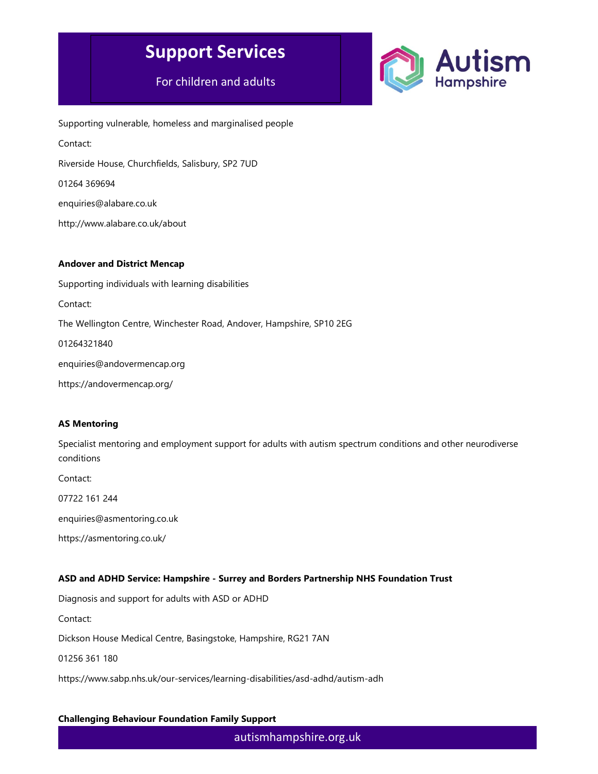## For children and adults



Supporting vulnerable, homeless and marginalised people Contact: Riverside House, Churchfields, Salisbury, SP2 7UD 01264 369694 enquiries@alabare.co.uk http://www.alabare.co.uk/about

#### Andover and District Mencap

Supporting individuals with learning disabilities Contact: The Wellington Centre, Winchester Road, Andover, Hampshire, SP10 2EG 01264321840 enquiries@andovermencap.org https://andovermencap.org/

### AS Mentoring

Specialist mentoring and employment support for adults with autism spectrum conditions and other neurodiverse conditions

Contact:

07722 161 244

enquiries@asmentoring.co.uk

https://asmentoring.co.uk/

#### ASD and ADHD Service: Hampshire - Surrey and Borders Partnership NHS Foundation Trust

Diagnosis and support for adults with ASD or ADHD

Contact:

Dickson House Medical Centre, Basingstoke, Hampshire, RG21 7AN

01256 361 180

https://www.sabp.nhs.uk/our-services/learning-disabilities/asd-adhd/autism-adh

#### Challenging Behaviour Foundation Family Support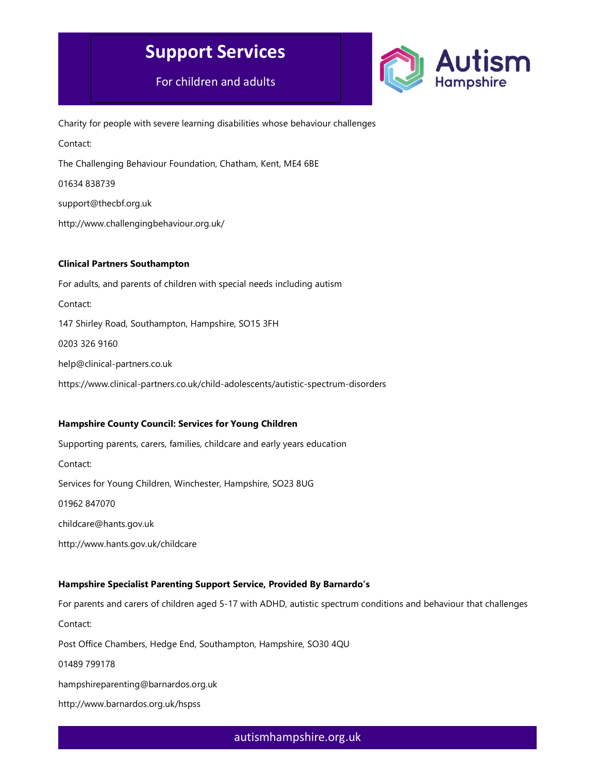For children and adults



Charity for people with severe learning disabilities whose behaviour challenges Contact: The Challenging Behaviour Foundation, Chatham, Kent, ME4 6BE 01634 838739 support@thecbf.org.uk http://www.challengingbehaviour.org.uk/

#### Clinical Partners Southampton

For adults, and parents of children with special needs including autism Contact: 147 Shirley Road, Southampton, Hampshire, SO15 3FH 0203 326 9160 help@clinical-partners.co.uk https://www.clinical-partners.co.uk/child-adolescents/autistic-spectrum-disorders

### Hampshire County Council: Services for Young Children

Supporting parents, carers, families, childcare and early years education Contact: Services for Young Children, Winchester, Hampshire, SO23 8UG 01962 847070 childcare@hants.gov.uk http://www.hants.gov.uk/childcare

### Hampshire Specialist Parenting Support Service, Provided By Barnardo's

For parents and carers of children aged 5-17 with ADHD, autistic spectrum conditions and behaviour that challenges Contact: Post Office Chambers, Hedge End, Southampton, Hampshire, SO30 4QU 01489 799178 hampshireparenting@barnardos.org.uk

http://www.barnardos.org.uk/hspss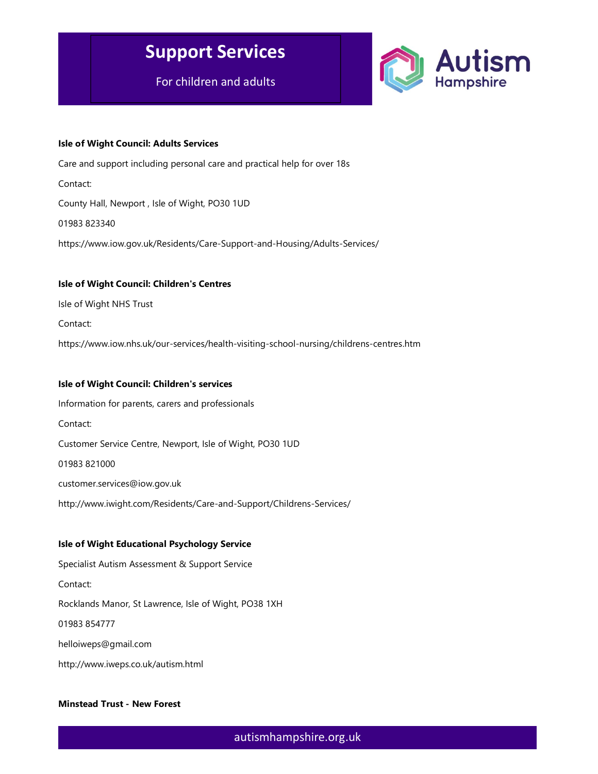For children and adults



#### Isle of Wight Council: Adults Services

Care and support including personal care and practical help for over 18s Contact: County Hall, Newport , Isle of Wight, PO30 1UD 01983 823340 https://www.iow.gov.uk/Residents/Care-Support-and-Housing/Adults-Services/

### Isle of Wight Council: Children's Centres

Isle of Wight NHS Trust

Contact:

https://www.iow.nhs.uk/our-services/health-visiting-school-nursing/childrens-centres.htm

#### Isle of Wight Council: Children's services

Information for parents, carers and professionals Contact: Customer Service Centre, Newport, Isle of Wight, PO30 1UD 01983 821000 customer.services@iow.gov.uk http://www.iwight.com/Residents/Care-and-Support/Childrens-Services/

#### Isle of Wight Educational Psychology Service

Specialist Autism Assessment & Support Service Contact: Rocklands Manor, St Lawrence, Isle of Wight, PO38 1XH 01983 854777 helloiweps@gmail.com http://www.iweps.co.uk/autism.html

#### Minstead Trust - New Forest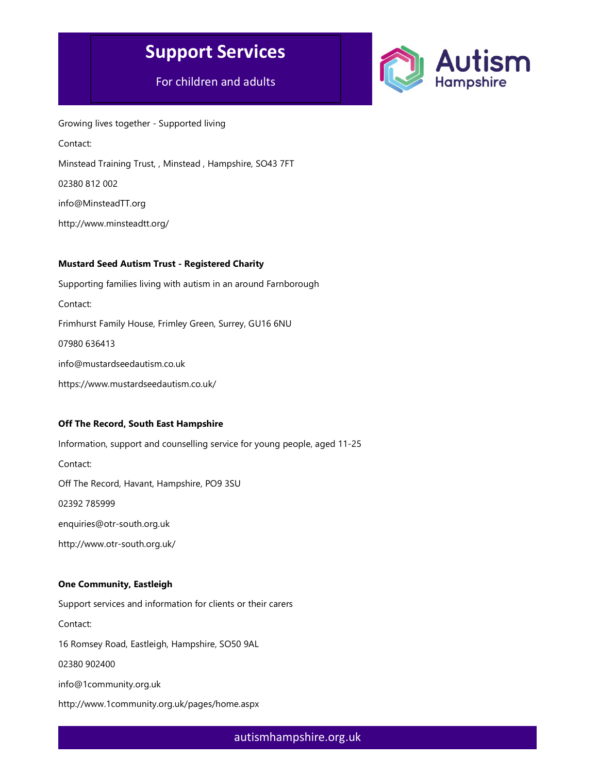## For children and adults



Growing lives together - Supported living Contact: Minstead Training Trust, , Minstead , Hampshire, SO43 7FT 02380 812 002 info@MinsteadTT.org http://www.minsteadtt.org/

#### Mustard Seed Autism Trust - Registered Charity

Supporting families living with autism in an around Farnborough Contact: Frimhurst Family House, Frimley Green, Surrey, GU16 6NU 07980 636413 info@mustardseedautism.co.uk https://www.mustardseedautism.co.uk/

#### Off The Record, South East Hampshire

Information, support and counselling service for young people, aged 11-25 Contact: Off The Record, Havant, Hampshire, PO9 3SU 02392 785999 enquiries@otr-south.org.uk http://www.otr-south.org.uk/

#### One Community, Eastleigh

Support services and information for clients or their carers Contact: 16 Romsey Road, Eastleigh, Hampshire, SO50 9AL 02380 902400 info@1community.org.uk http://www.1community.org.uk/pages/home.aspx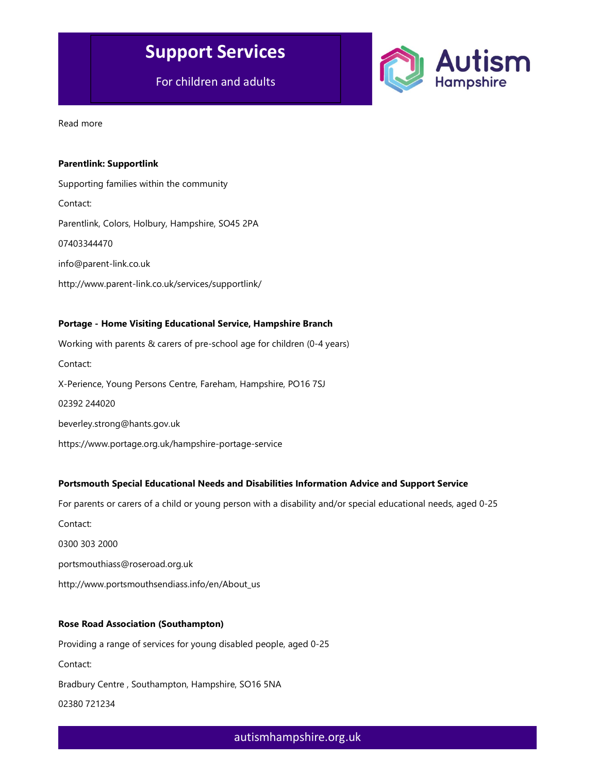For children and adults



Read more

#### Parentlink: Supportlink

Supporting families within the community Contact: Parentlink, Colors, Holbury, Hampshire, SO45 2PA 07403344470 info@parent-link.co.uk http://www.parent-link.co.uk/services/supportlink/

#### Portage - Home Visiting Educational Service, Hampshire Branch

Working with parents & carers of pre-school age for children (0-4 years) Contact: X-Perience, Young Persons Centre, Fareham, Hampshire, PO16 7SJ 02392 244020 beverley.strong@hants.gov.uk https://www.portage.org.uk/hampshire-portage-service

#### Portsmouth Special Educational Needs and Disabilities Information Advice and Support Service

For parents or carers of a child or young person with a disability and/or special educational needs, aged 0-25

Contact:

0300 303 2000

portsmouthiass@roseroad.org.uk

http://www.portsmouthsendiass.info/en/About\_us

#### Rose Road Association (Southampton)

Providing a range of services for young disabled people, aged 0-25 Contact: Bradbury Centre , Southampton, Hampshire, SO16 5NA 02380 721234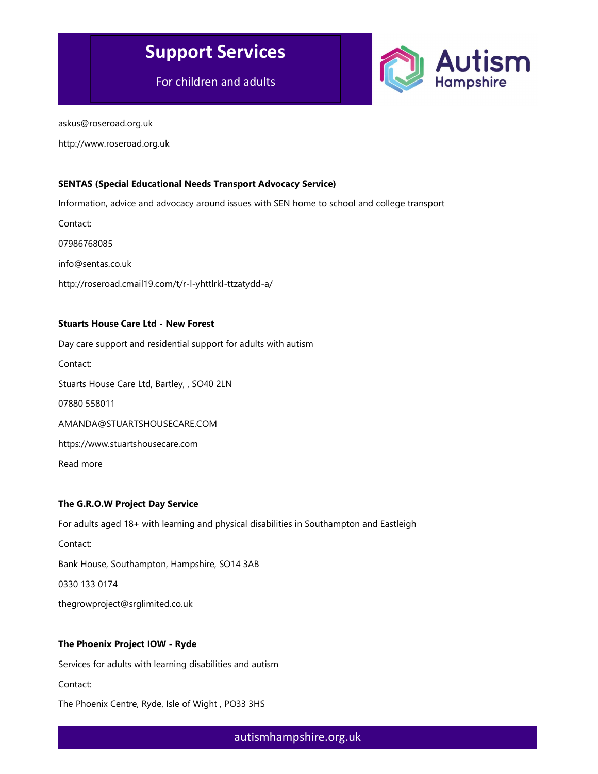For children and adults



askus@roseroad.org.uk

http://www.roseroad.org.uk

#### SENTAS (Special Educational Needs Transport Advocacy Service)

Information, advice and advocacy around issues with SEN home to school and college transport

Contact:

07986768085

info@sentas.co.uk

http://roseroad.cmail19.com/t/r-l-yhttlrkl-ttzatydd-a/

#### Stuarts House Care Ltd - New Forest

Day care support and residential support for adults with autism

Contact:

Stuarts House Care Ltd, Bartley, , SO40 2LN

07880 558011

AMANDA@STUARTSHOUSECARE.COM

https://www.stuartshousecare.com

Read more

#### The G.R.O.W Project Day Service

For adults aged 18+ with learning and physical disabilities in Southampton and Eastleigh

Contact:

Bank House, Southampton, Hampshire, SO14 3AB

0330 133 0174

thegrowproject@srglimited.co.uk

#### The Phoenix Project IOW - Ryde

Services for adults with learning disabilities and autism

Contact:

The Phoenix Centre, Ryde, Isle of Wight , PO33 3HS